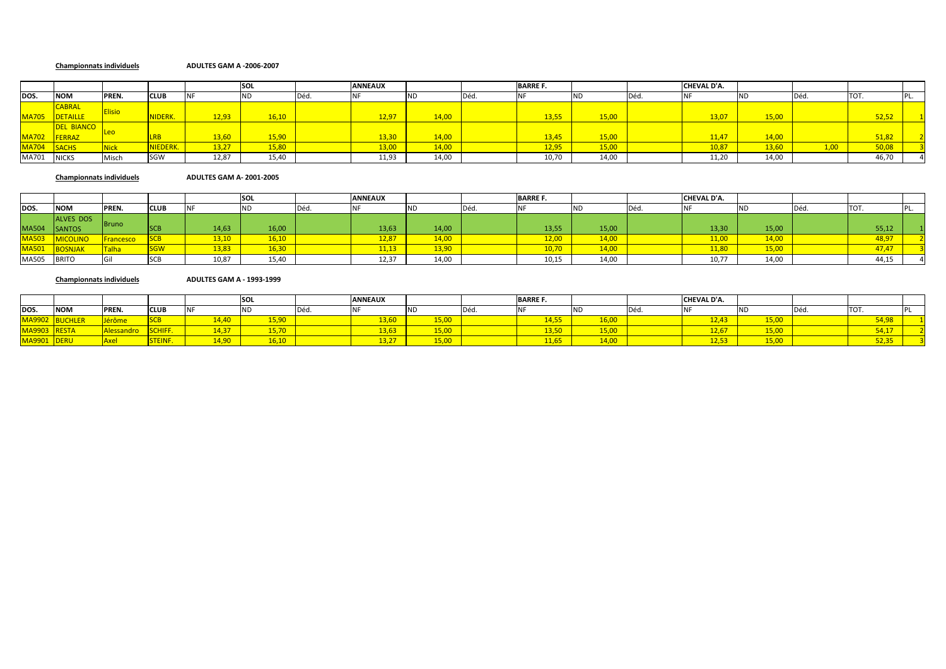### **Championnats individuels ADULTES GAM A ‐2006‐2007**

|              |                   |               |             |       | <b>SOL</b> |      | <b>ANNEAUX</b> |           |      | <b>BARRE F.</b> |       |       | CHEVAL D'A. |           |                   |       |     |
|--------------|-------------------|---------------|-------------|-------|------------|------|----------------|-----------|------|-----------------|-------|-------|-------------|-----------|-------------------|-------|-----|
| DOS.         | <b>NOM</b>        | PREN.         | <b>CLUB</b> |       | 'ND        | Déd. |                | <b>ND</b> | Déd. |                 | ND    | IDéd. |             | <b>ND</b> | Déd.              | TOT.  | ۲L. |
|              | <b>CABRAL</b>     | <b>Elisio</b> |             |       |            |      |                |           |      |                 |       |       |             |           |                   |       |     |
| <b>MA705</b> | DETAILLE          |               | NIDERK.     | 12,93 | 16,10      |      | 12,97          | 14,00     |      | 13,55           | 15,00 |       | 13,07       | 15,00     |                   | 52,52 |     |
|              | <b>DEL BIANCO</b> |               |             |       |            |      |                |           |      |                 |       |       |             |           |                   |       |     |
| MA702 FERRAZ |                   |               |             | 13,60 | 15,90      |      | 13,30          | 14,00     |      | 13,45           | 15,00 |       | 11,47       | 14,00     |                   | 51,82 |     |
| MA704 SACHS  |                   | <b>Nick</b>   | NIEDERK.    | 13,27 | 15,80      |      | 13,00          | 14,00     |      | 12,95           | 15,00 |       | 10,87       | 13,60     | 1.00 <sub>1</sub> | 50,08 |     |
| MA701        | <b>NICKS</b>      | Misch         | <b>SGW</b>  | 12,87 | 15,40      |      | 11,93          | 14,00     |      | 10,70           | 14,00 |       | 11,20       | 14,00     |                   | 46,70 |     |

**Championnats individuels ADULTES GAM A‐ 2001‐2005**

|       |                  |                  |                    |            | <b>SOL</b> |      | <b>ANNEAUX</b> |       |      | <b>BARRE F.</b> |       |      | <b>CHEVAL D'A.</b> |       |            |       |  |
|-------|------------------|------------------|--------------------|------------|------------|------|----------------|-------|------|-----------------|-------|------|--------------------|-------|------------|-------|--|
| DOS.  | <b>NOM</b>       | PREN.            | <b>CLUB</b>        | <b>INF</b> | <b>IND</b> | Déd. |                | NL.   | Déd. |                 |       | Déd. |                    |       | <b>DEC</b> | וטו   |  |
|       | <b>ALVES DOS</b> |                  |                    |            |            |      |                |       |      |                 |       |      |                    |       |            |       |  |
| MA504 | <b>SANTOS</b>    | <b>Bruno</b>     | $C^{\sim}$<br>ISCB | 14,63      | 16,00      |      | 13,63          | 14,00 |      | 13,55           | 15,00 |      | 13,30              | 15,00 |            | 55,12 |  |
| MA503 | <b>MICOLINO</b>  | <b>Francesco</b> | SCB                | 13,10      | 16,10      |      | 12,87          | 14,00 |      | 12,00           | 14,00 |      | 11,00              | 14,00 |            | 48,97 |  |
| MA501 | <b>BOSNJAK</b>   | Talha            | <b>SGW</b>         | 13,83      | 16,30      |      | 11,13          | 13,90 |      | 10,70           | 14,00 |      | 11.80              | 15,00 |            | 47.47 |  |
| MA505 | <b>BRITO</b>     |                  | oco                | 10,87      | 15,40      |      | 12,37          | 14,00 |      | 10,15           | 14,00 |      | 10,77              | 14,00 |            | 44,15 |  |

**Championnats individuels ADULTES GAM A ‐ 1993‐1999**

|              |            |        |                              |         | <b>SOL</b> |      | <b>ANNEAUX</b>         |           | <b>BARRE F.</b>                        |               |      | CHEVAL D'A.   |                      |             |  |
|--------------|------------|--------|------------------------------|---------|------------|------|------------------------|-----------|----------------------------------------|---------------|------|---------------|----------------------|-------------|--|
| DOS.         | <b>NOM</b> | PREN.  | <b>CLUB</b>                  |         | 1 V        | Déd. |                        | <b>ND</b> |                                        |               | Déa. |               |                      | . וסדו      |  |
| 1.0002       |            | i www. |                              | $140 -$ | AP, OQ     |      | 12 $cc$                | $  -$     | $A$ , $A$ , $B$ , $B$<br><u>4,000 </u> |               |      | $\sim$ $\sim$ | $- - - -$<br>15,0'   | <b>A</b> 09 |  |
| $\cdots$     |            | sandi  |                              | 14.37   | 15.70      |      | 13.63                  | LJ.VI     | 13,50                                  | <u>______</u> |      | $200 - 200$   | $\sim$ $ -$<br>15,00 | A           |  |
| $\sqrt{220}$ |            |        | <b>PERMIT</b><br>,,,,,,,,,,, | 14,90   | 16,10      |      | $\sim$ $\sim$<br>10,4. | LJ,UL     | 11,65                                  | 14,UU         |      |               | 15,00                |             |  |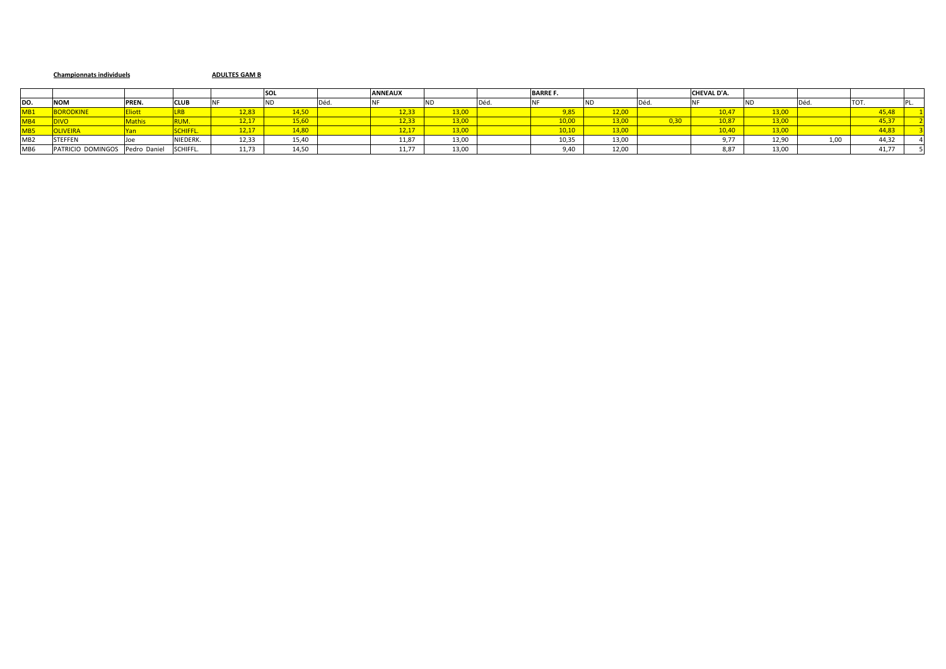### **Championnats individuels ADULTES GAM B**

|                 |                      |              |                |       | <b>SOL</b> |     | <b>ANNEAUX</b> |       |       | <b>BARRE F.</b> |       |      | CHEVAL D'A. |                 |      |       |  |
|-----------------|----------------------|--------------|----------------|-------|------------|-----|----------------|-------|-------|-----------------|-------|------|-------------|-----------------|------|-------|--|
| DO.             | <b>NOM</b>           | PREN.        | <b>CLUB</b>    |       |            | Déd |                |       | ivea. |                 |       |      |             |                 |      | TOT.  |  |
| MB1             | <u>"UUNUUKIINE".</u> |              |                | 2,83  | 4.50       |     | 12,33          | 13,00 |       |                 |       |      | 10,4        | 12 <sub>1</sub> |      | 5.48  |  |
| MB <sub>4</sub> |                      |              |                | 12,17 | $-5,60$    |     | 12,33          | 13,00 |       |                 |       | J,30 | 10,87       | 12M             |      | 15.37 |  |
| MB <sub>5</sub> | <b>DLIVEIRA</b>      |              | <b>CHIFFL.</b> | 12,17 | 14.80      |     | 12,17          | 13,00 |       | 10.10           |       |      | 10,40       | 130             |      | 4,83  |  |
| MB <sub>2</sub> | <b>STEFFEN</b>       |              | NIEDERK.       | 12,33 | 15,40      |     | 11,87          | 13,00 |       | 10,35           | 13,00 |      | .           | 12,90           | 1,00 | 44,32 |  |
| MB6             | PATRICIO DOMINGOS    | Pedro Daniel | SCHIFFL.       | 11,73 | 14,50      |     | 11,77          | 13,00 |       |                 | 12,00 |      | 8,87        | 13,00           |      | 41.77 |  |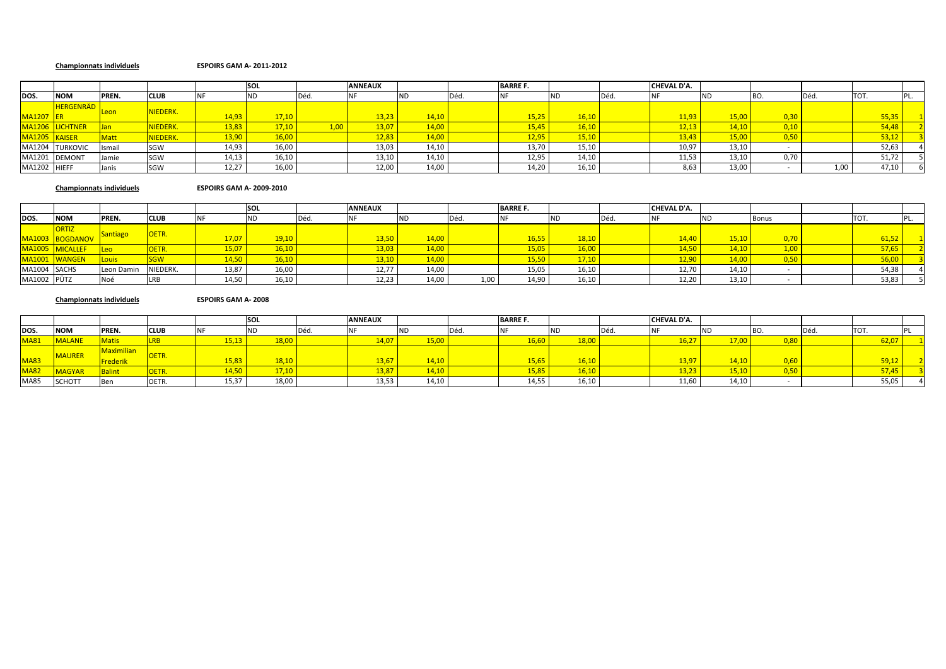### **Championnats individuels ESPOIRS GAM A‐ 2011‐2012**

|               |                  |             |                 |       | <b>SOL</b> |      | <b>ANNEAUX</b> |       |      | <b>BARRE F.</b> |           |     | CHEVAL D'A. |       |           |      |       |  |
|---------------|------------------|-------------|-----------------|-------|------------|------|----------------|-------|------|-----------------|-----------|-----|-------------|-------|-----------|------|-------|--|
| DOS.          | <b>NOM</b>       | PREN.       | <b>CLUB</b>     |       | IND        | Déd. |                | IND   | ىفتا |                 | <b>ND</b> | Déd |             |       |           | Déd. | TOT.  |  |
|               | <b>HERGENRÄD</b> |             | NIEDERK.        |       |            |      |                |       |      |                 |           |     |             |       |           |      |       |  |
| MA1207 ER     |                  |             |                 | 14,93 | 17.10      |      | 13,23          | 14,10 |      | 15,25           | 16,10     |     | 11,93       | 15,00 | 0,30      |      | 55,35 |  |
|               | MA1206 LICHTNER  |             | <b>JIEDERK.</b> | 13,83 | 17.10      |      | 13,07          | 14,00 |      | 15,4            | 16,10     |     | $-12.13$    |       | $,10^{-}$ |      | 54,48 |  |
| MA1205 KAISER |                  | <b>Matt</b> | NIEDERK.        | 13,90 | 16,00      |      | 12,83          | 14,00 |      | 12,9            | 15,10     |     | 43,43       |       | ,50       |      | 53,12 |  |
|               | MA1204 TURKOVIC  | Ismail      | SGW             | 14,93 | 16,00      |      | 13,03          | 14,10 |      | 13,70           | 15,10     |     | 10,97       | 13,10 |           |      | 52,63 |  |
| MA1201        | <b>DEMONT</b>    | Jamie       | SGW             | 14,13 | 16,10      |      | 13,10          | 14,10 |      | 12,95           | 14,10     |     | 11,53       | 13,10 | 0,70      |      | 51,72 |  |
| MA1202 HIEFF  |                  | Janis       | SGW             | 12,27 | 16,00      |      | 12,00          | 14,00 |      | 14,20           | 16,10     |     | 8,63        | 13,00 |           | 1,00 | 47,10 |  |

### **Championnats individuels ESPOIRS GAM A‐ 2009‐2010**

|              |                 |                 |              |       | <b>SOL</b> |      | <b>ANNEAUX</b> |       |       | <b>BARRE F.</b> |           |     | <b>CHEVAL D'A.</b> |       |       |       |  |
|--------------|-----------------|-----------------|--------------|-------|------------|------|----------------|-------|-------|-----------------|-----------|-----|--------------------|-------|-------|-------|--|
| DOS.         | <b>NOM</b>      | PREN.           | <b>CLUB</b>  |       |            | Déd. |                |       | I Déd |                 | <b>ND</b> | Déd |                    |       | Bonus | TOT.  |  |
|              | <b>ORTIZ</b>    |                 | <b>OETR.</b> |       |            |      |                |       |       |                 |           |     |                    |       |       |       |  |
|              | MA1003 BOGDANOV | <b>Santiago</b> |              | 17.07 | 19.10      |      | 13.50          | 14.00 |       | 16,55           | 18,10     |     |                    | 15,10 |       | 61.5. |  |
|              | MA1005 MICALLEF |                 | <b>DETR.</b> | 15.07 | 16.10      |      | 13,03          | 14,00 |       | 15,05           | 16,00     |     | 14.50              | 14.10 |       | 57,65 |  |
|              | MA1001 WANGEN   | <b>Louis</b>    |              | 14,50 |            |      | 13,10          | 14,00 |       | 15,50           | 17,10     |     | 12,90              | 14,00 |       | 56,00 |  |
| MA1004 SACHS |                 | Leon Damin      | NIEDERK.     | 13,87 | 16,00      |      | 12,77          | 14,00 |       | 15,05           | 16,10     |     | 12,70              | 14,10 |       | 54,38 |  |
| MA1002 PÜTZ  |                 |                 |              | 14,50 | 16,10      |      | 12,23          | 14,00 | 1,00  | 14,90           | 16,10     |     | 12,20              | 13,10 |       | 53,83 |  |

### **Championnats individuels ESPOIRS GAM A‐ 2008**

|             |               |                   |             |       | <b>SOI</b>  |            | <b>ANNEAUX</b> |       | <b>BARRE F.</b> |             |     | <b>CHEVAL D'A.</b> |       |       |       |  |
|-------------|---------------|-------------------|-------------|-------|-------------|------------|----------------|-------|-----------------|-------------|-----|--------------------|-------|-------|-------|--|
| DOS.        | <b>NOM</b>    | <b>PREN.</b>      | <b>CLUB</b> |       | <b>INIE</b> | <b>DEU</b> |                |       |                 | <b>ND</b>   | Déc |                    |       | ' Déc | TOT.  |  |
| <b>MA81</b> | <b>MALANE</b> | <b>Matis</b>      |             |       |             |            |                | .5,00 |                 |             |     |                    | 17,00 |       |       |  |
|             | <b>MAURER</b> | <b>Aaximilian</b> |             |       |             |            |                |       |                 |             |     |                    |       |       |       |  |
| <b>MA83</b> |               | <u>ederik</u>     | JEIK        | 15.83 | 810         |            | 13.67          | 4.1(  |                 |             |     | 13 97              | 14.10 |       | 59.12 |  |
| <b>MA82</b> | <b>AAGYAR</b> | <b>Balint</b>     | <b>VLID</b> |       |             |            | 13,87          | .4,10 |                 | <u>0,10</u> |     | 13,23              | 15,10 |       |       |  |
| <b>MA85</b> | <b>SCHOTT</b> | Ben               | OETR.       | 15,37 | 18,00       |            | 13,53          | 14,10 | 14,55           | 16,10       |     | 11,60              | 14,10 |       | 55,05 |  |